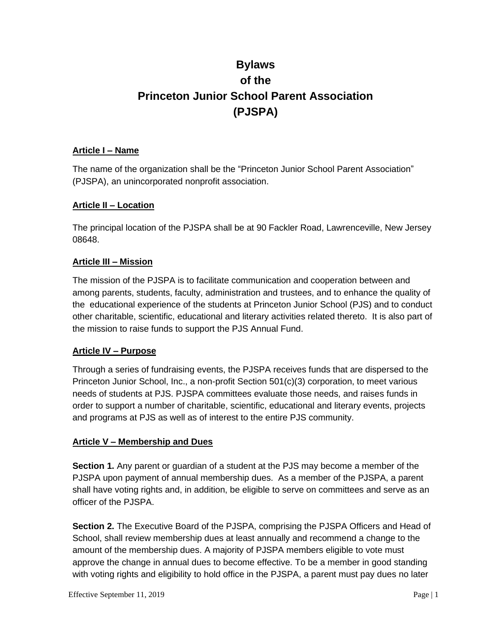# **Bylaws of the Princeton Junior School Parent Association (PJSPA)**

### **Article I – Name**

The name of the organization shall be the "Princeton Junior School Parent Association" (PJSPA), an unincorporated nonprofit association.

## **Article II – Location**

The principal location of the PJSPA shall be at 90 Fackler Road, Lawrenceville, New Jersey 08648.

## **Article III – Mission**

The mission of the PJSPA is to facilitate communication and cooperation between and among parents, students, faculty, administration and trustees, and to enhance the quality of the educational experience of the students at Princeton Junior School (PJS) and to conduct other charitable, scientific, educational and literary activities related thereto. It is also part of the mission to raise funds to support the PJS Annual Fund.

#### **Article IV – Purpose**

Through a series of fundraising events, the PJSPA receives funds that are dispersed to the Princeton Junior School, Inc., a non-profit Section 501(c)(3) corporation, to meet various needs of students at PJS. PJSPA committees evaluate those needs, and raises funds in order to support a number of charitable, scientific, educational and literary events, projects and programs at PJS as well as of interest to the entire PJS community.

#### **Article V – Membership and Dues**

**Section 1.** Any parent or guardian of a student at the PJS may become a member of the PJSPA upon payment of annual membership dues. As a member of the PJSPA, a parent shall have voting rights and, in addition, be eligible to serve on committees and serve as an officer of the PJSPA.

**Section 2.** The Executive Board of the PJSPA, comprising the PJSPA Officers and Head of School, shall review membership dues at least annually and recommend a change to the amount of the membership dues. A majority of PJSPA members eligible to vote must approve the change in annual dues to become effective. To be a member in good standing with voting rights and eligibility to hold office in the PJSPA, a parent must pay dues no later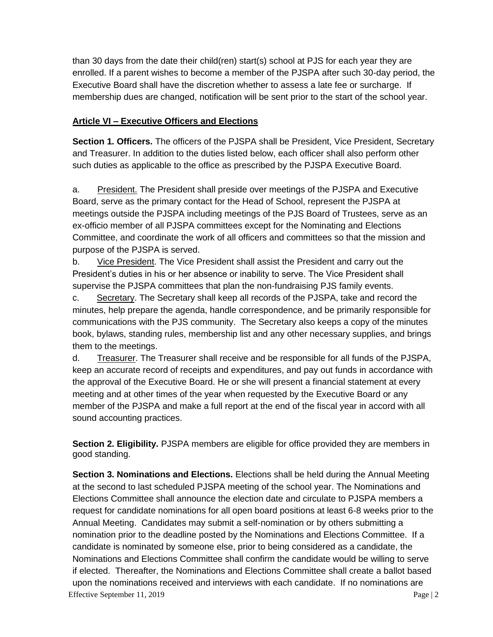than 30 days from the date their child(ren) start(s) school at PJS for each year they are enrolled. If a parent wishes to become a member of the PJSPA after such 30-day period, the Executive Board shall have the discretion whether to assess a late fee or surcharge. If membership dues are changed, notification will be sent prior to the start of the school year.

# **Article VI – Executive Officers and Elections**

**Section 1. Officers.** The officers of the PJSPA shall be President, Vice President, Secretary and Treasurer. In addition to the duties listed below, each officer shall also perform other such duties as applicable to the office as prescribed by the PJSPA Executive Board.

a. President. The President shall preside over meetings of the PJSPA and Executive Board, serve as the primary contact for the Head of School, represent the PJSPA at meetings outside the PJSPA including meetings of the PJS Board of Trustees, serve as an ex-officio member of all PJSPA committees except for the Nominating and Elections Committee, and coordinate the work of all officers and committees so that the mission and purpose of the PJSPA is served.

b. Vice President. The Vice President shall assist the President and carry out the President's duties in his or her absence or inability to serve. The Vice President shall supervise the PJSPA committees that plan the non-fundraising PJS family events.

c. Secretary. The Secretary shall keep all records of the PJSPA, take and record the minutes, help prepare the agenda, handle correspondence, and be primarily responsible for communications with the PJS community. The Secretary also keeps a copy of the minutes book, bylaws, standing rules, membership list and any other necessary supplies, and brings them to the meetings.

d. Treasurer. The Treasurer shall receive and be responsible for all funds of the PJSPA, keep an accurate record of receipts and expenditures, and pay out funds in accordance with the approval of the Executive Board. He or she will present a financial statement at every meeting and at other times of the year when requested by the Executive Board or any member of the PJSPA and make a full report at the end of the fiscal year in accord with all sound accounting practices.

**Section 2. Eligibility.** PJSPA members are eligible for office provided they are members in good standing.

Effective September 11, 2019 Page | 2 **Section 3. Nominations and Elections.** Elections shall be held during the Annual Meeting at the second to last scheduled PJSPA meeting of the school year. The Nominations and Elections Committee shall announce the election date and circulate to PJSPA members a request for candidate nominations for all open board positions at least 6-8 weeks prior to the Annual Meeting. Candidates may submit a self-nomination or by others submitting a nomination prior to the deadline posted by the Nominations and Elections Committee. If a candidate is nominated by someone else, prior to being considered as a candidate, the Nominations and Elections Committee shall confirm the candidate would be willing to serve if elected. Thereafter, the Nominations and Elections Committee shall create a ballot based upon the nominations received and interviews with each candidate. If no nominations are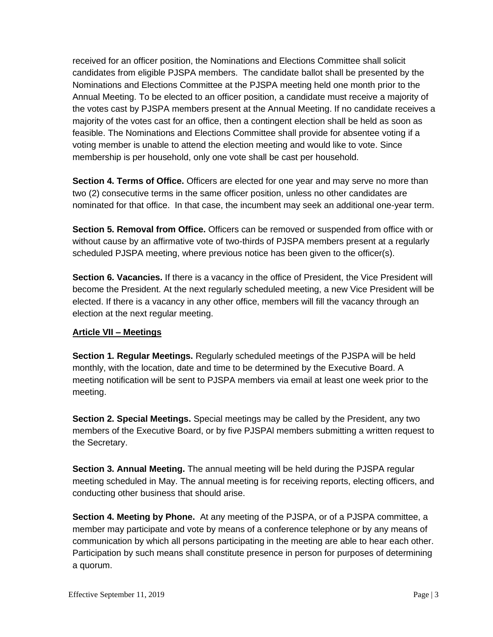received for an officer position, the Nominations and Elections Committee shall solicit candidates from eligible PJSPA members. The candidate ballot shall be presented by the Nominations and Elections Committee at the PJSPA meeting held one month prior to the Annual Meeting. To be elected to an officer position, a candidate must receive a majority of the votes cast by PJSPA members present at the Annual Meeting. If no candidate receives a majority of the votes cast for an office, then a contingent election shall be held as soon as feasible. The Nominations and Elections Committee shall provide for absentee voting if a voting member is unable to attend the election meeting and would like to vote. Since membership is per household, only one vote shall be cast per household.

Section 4. Terms of Office. Officers are elected for one year and may serve no more than two (2) consecutive terms in the same officer position, unless no other candidates are nominated for that office. In that case, the incumbent may seek an additional one-year term.

**Section 5. Removal from Office.** Officers can be removed or suspended from office with or without cause by an affirmative vote of two-thirds of PJSPA members present at a regularly scheduled PJSPA meeting, where previous notice has been given to the officer(s).

**Section 6. Vacancies.** If there is a vacancy in the office of President, the Vice President will become the President. At the next regularly scheduled meeting, a new Vice President will be elected. If there is a vacancy in any other office, members will fill the vacancy through an election at the next regular meeting.

# **Article VII – Meetings**

**Section 1. Regular Meetings.** Regularly scheduled meetings of the PJSPA will be held monthly, with the location, date and time to be determined by the Executive Board. A meeting notification will be sent to PJSPA members via email at least one week prior to the meeting.

**Section 2. Special Meetings.** Special meetings may be called by the President, any two members of the Executive Board, or by five PJSPAl members submitting a written request to the Secretary.

**Section 3. Annual Meeting.** The annual meeting will be held during the PJSPA regular meeting scheduled in May. The annual meeting is for receiving reports, electing officers, and conducting other business that should arise.

**Section 4. Meeting by Phone.** At any meeting of the PJSPA, or of a PJSPA committee, a member may participate and vote by means of a conference telephone or by any means of communication by which all persons participating in the meeting are able to hear each other. Participation by such means shall constitute presence in person for purposes of determining a quorum.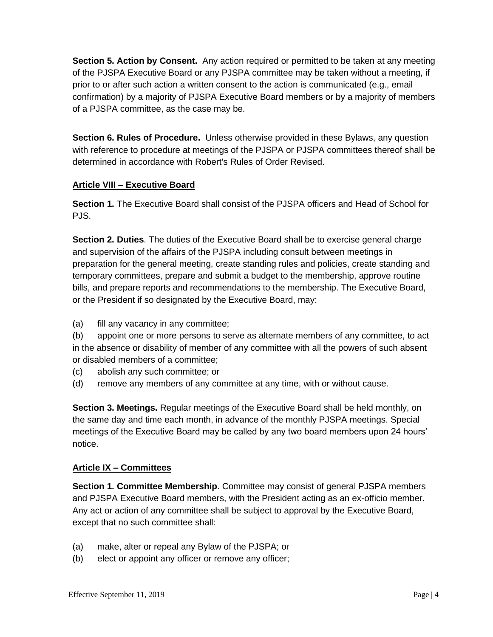**Section 5. Action by Consent.** Any action required or permitted to be taken at any meeting of the PJSPA Executive Board or any PJSPA committee may be taken without a meeting, if prior to or after such action a written consent to the action is communicated (e.g., email confirmation) by a majority of PJSPA Executive Board members or by a majority of members of a PJSPA committee, as the case may be.

**Section 6. Rules of Procedure.** Unless otherwise provided in these Bylaws, any question with reference to procedure at meetings of the PJSPA or PJSPA committees thereof shall be determined in accordance with Robert's Rules of Order Revised.

## **Article VIII – Executive Board**

**Section 1.** The Executive Board shall consist of the PJSPA officers and Head of School for PJS.

**Section 2. Duties**. The duties of the Executive Board shall be to exercise general charge and supervision of the affairs of the PJSPA including consult between meetings in preparation for the general meeting, create standing rules and policies, create standing and temporary committees, prepare and submit a budget to the membership, approve routine bills, and prepare reports and recommendations to the membership. The Executive Board, or the President if so designated by the Executive Board, may:

(a) fill any vacancy in any committee;

(b) appoint one or more persons to serve as alternate members of any committee, to act in the absence or disability of member of any committee with all the powers of such absent or disabled members of a committee;

- (c) abolish any such committee; or
- (d) remove any members of any committee at any time, with or without cause.

**Section 3. Meetings.** Regular meetings of the Executive Board shall be held monthly, on the same day and time each month, in advance of the monthly PJSPA meetings. Special meetings of the Executive Board may be called by any two board members upon 24 hours' notice.

#### **Article IX – Committees**

**Section 1. Committee Membership**. Committee may consist of general PJSPA members and PJSPA Executive Board members, with the President acting as an ex-officio member. Any act or action of any committee shall be subject to approval by the Executive Board, except that no such committee shall:

- (a) make, alter or repeal any Bylaw of the PJSPA; or
- (b) elect or appoint any officer or remove any officer;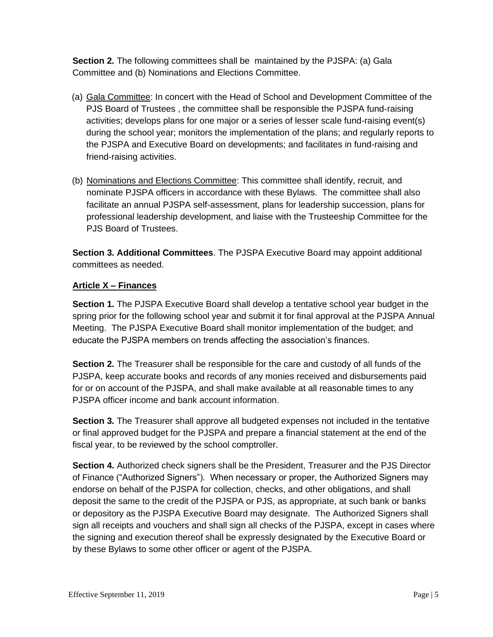**Section 2.** The following committees shall be maintained by the PJSPA: (a) Gala Committee and (b) Nominations and Elections Committee.

- (a) Gala Committee: In concert with the Head of School and Development Committee of the PJS Board of Trustees , the committee shall be responsible the PJSPA fund-raising activities; develops plans for one major or a series of lesser scale fund-raising event(s) during the school year; monitors the implementation of the plans; and regularly reports to the PJSPA and Executive Board on developments; and facilitates in fund-raising and friend-raising activities.
- (b) Nominations and Elections Committee: This committee shall identify, recruit, and nominate PJSPA officers in accordance with these Bylaws. The committee shall also facilitate an annual PJSPA self-assessment, plans for leadership succession, plans for professional leadership development, and liaise with the Trusteeship Committee for the PJS Board of Trustees.

**Section 3. Additional Committees**. The PJSPA Executive Board may appoint additional committees as needed.

# **Article X – Finances**

**Section 1.** The PJSPA Executive Board shall develop a tentative school year budget in the spring prior for the following school year and submit it for final approval at the PJSPA Annual Meeting. The PJSPA Executive Board shall monitor implementation of the budget; and educate the PJSPA members on trends affecting the association's finances.

**Section 2.** The Treasurer shall be responsible for the care and custody of all funds of the PJSPA, keep accurate books and records of any monies received and disbursements paid for or on account of the PJSPA, and shall make available at all reasonable times to any PJSPA officer income and bank account information.

**Section 3.** The Treasurer shall approve all budgeted expenses not included in the tentative or final approved budget for the PJSPA and prepare a financial statement at the end of the fiscal year, to be reviewed by the school comptroller.

**Section 4.** Authorized check signers shall be the President, Treasurer and the PJS Director of Finance ("Authorized Signers"). When necessary or proper, the Authorized Signers may endorse on behalf of the PJSPA for collection, checks, and other obligations, and shall deposit the same to the credit of the PJSPA or PJS, as appropriate, at such bank or banks or depository as the PJSPA Executive Board may designate. The Authorized Signers shall sign all receipts and vouchers and shall sign all checks of the PJSPA, except in cases where the signing and execution thereof shall be expressly designated by the Executive Board or by these Bylaws to some other officer or agent of the PJSPA.